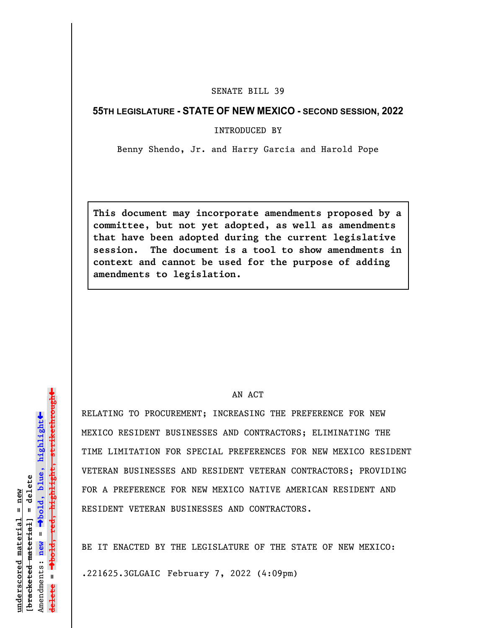## SENATE BILL 39

## **55TH LEGISLATURE - STATE OF NEW MEXICO - SECOND SESSION, 2022**

INTRODUCED BY

Benny Shendo, Jr. and Harry Garcia and Harold Pope

**This document may incorporate amendments proposed by a committee, but not yet adopted, as well as amendments that have been adopted during the current legislative session. The document is a tool to show amendments in context and cannot be used for the purpose of adding amendments to legislation.**

## AN ACT

RELATING TO PROCUREMENT; INCREASING THE PREFERENCE FOR NEW MEXICO RESIDENT BUSINESSES AND CONTRACTORS; ELIMINATING THE TIME LIMITATION FOR SPECIAL PREFERENCES FOR NEW MEXICO RESIDENT VETERAN BUSINESSES AND RESIDENT VETERAN CONTRACTORS; PROVIDING FOR A PREFERENCE FOR NEW MEXICO NATIVE AMERICAN RESIDENT AND RESIDENT VETERAN BUSINESSES AND CONTRACTORS.

BE IT ENACTED BY THE LEGISLATURE OF THE STATE OF NEW MEXICO:

.221625.3GLGAIC February 7, 2022 (4:09pm)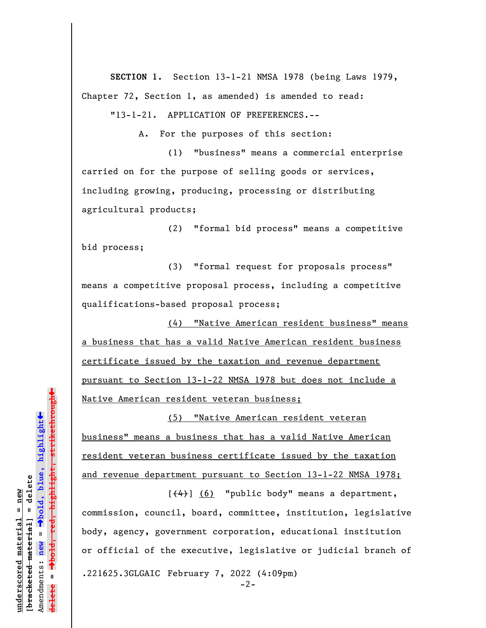**SECTION 1.** Section 13-1-21 NMSA 1978 (being Laws 1979, Chapter 72, Section 1, as amended) is amended to read:

"13-1-21. APPLICATION OF PREFERENCES.--

A. For the purposes of this section:

(1) "business" means a commercial enterprise carried on for the purpose of selling goods or services, including growing, producing, processing or distributing agricultural products;

(2) "formal bid process" means a competitive bid process;

(3) "formal request for proposals process" means a competitive proposal process, including a competitive qualifications-based proposal process;

(4) "Native American resident business" means a business that has a valid Native American resident business certificate issued by the taxation and revenue department pursuant to Section 13-1-22 NMSA 1978 but does not include a Native American resident veteran business;

(5) "Native American resident veteran business" means a business that has a valid Native American resident veteran business certificate issued by the taxation and revenue department pursuant to Section 13-1-22 NMSA 1978;

 $[$ (4)]  $(6)$  "public body" means a department, commission, council, board, committee, institution, legislative body, agency, government corporation, educational institution or official of the executive, legislative or judicial branch of .221625.3GLGAIC February 7, 2022 (4:09pm)

º**bold, red, highlight, strikethrough**  $\ddot{\bullet}$ º**bold, blue, highlight** bracketed material] = delete **[bracketed material] = delete** inderscored material = new **underscored material = new** Amendments: **new** =  $\mathbf{I}$ Amendments: new **delete =** lelete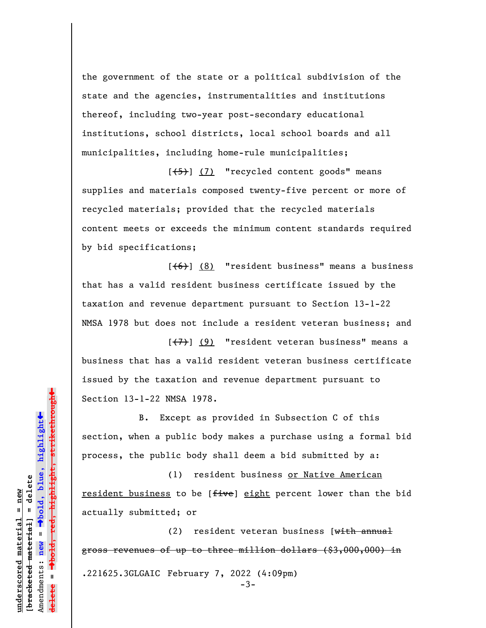the government of the state or a political subdivision of the state and the agencies, instrumentalities and institutions thereof, including two-year post-secondary educational institutions, school districts, local school boards and all municipalities, including home-rule municipalities;

 $[\frac{1}{5}]$  (7) "recycled content goods" means supplies and materials composed twenty-five percent or more of recycled materials; provided that the recycled materials content meets or exceeds the minimum content standards required by bid specifications;

 $[66]$  (8) "resident business" means a business that has a valid resident business certificate issued by the taxation and revenue department pursuant to Section 13-1-22 NMSA 1978 but does not include a resident veteran business; and

 $[\overline{(+7)}]$  (9) "resident veteran business" means a business that has a valid resident veteran business certificate issued by the taxation and revenue department pursuant to Section 13-1-22 NMSA 1978.

B. Except as provided in Subsection C of this section, when a public body makes a purchase using a formal bid process, the public body shall deem a bid submitted by a:

(1) resident business or Native American resident business to be [five] eight percent lower than the bid actually submitted; or

(2) resident veteran business [with annual gross revenues of up to three million dollars (\$3,000,000) in .221625.3GLGAIC February 7, 2022 (4:09pm)  $-3-$ 

º**bold, red, highlight, strikethrough** º**bold, blue, highlight** bracketed material] = delete **[bracketed material] = delete** Amendments: **new** =  $\mathbf{I}$ Amendments: new **delete =**

 $\ddot{\bullet}$ 

 $\ddag$ 

**underscored material = new**

inderscored material = new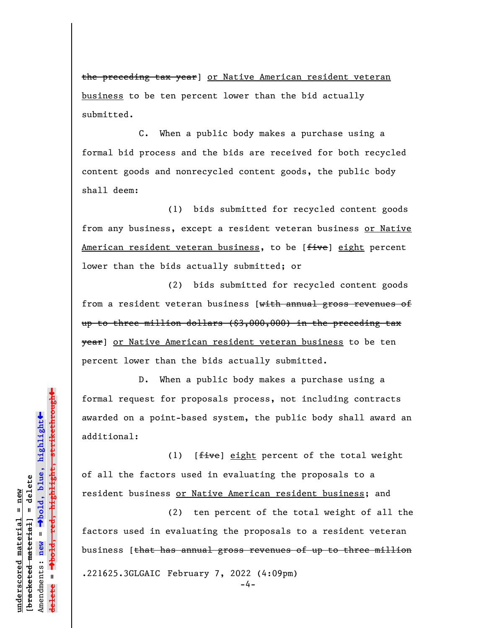the preceding tax year] or Native American resident veteran business to be ten percent lower than the bid actually submitted.

C. When a public body makes a purchase using a formal bid process and the bids are received for both recycled content goods and nonrecycled content goods, the public body shall deem:

(1) bids submitted for recycled content goods from any business, except a resident veteran business or Native American resident veteran business, to be [five] eight percent lower than the bids actually submitted; or

(2) bids submitted for recycled content goods from a resident veteran business [with annual gross revenues of up to three million dollars (\$3,000,000) in the preceding tax year] or Native American resident veteran business to be ten percent lower than the bids actually submitted.

D. When a public body makes a purchase using a formal request for proposals process, not including contracts awarded on a point-based system, the public body shall award an additional:

(1)  $[$ *five*] eight percent of the total weight of all the factors used in evaluating the proposals to a resident business or Native American resident business; and

(2) ten percent of the total weight of all the factors used in evaluating the proposals to a resident veteran business [that has annual gross revenues of up to three million .221625.3GLGAIC February 7, 2022 (4:09pm)

-4-

º**bold, red, highlight, strikethrough**  $\ddot{\bullet}$ º**bold, blue, highlight** bracketed material] = delete **[bracketed material] = delete** inderscored material = new **underscored material = new** Amendments: **new** =  $\mathbf{I}$ Amendments: new  $\mathbf{u}$ **delete =**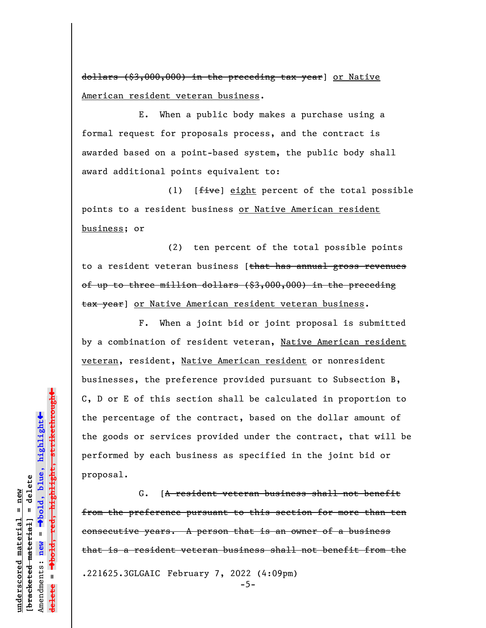dollars (\$3,000,000) in the preceding tax year] or Native American resident veteran business.

E. When a public body makes a purchase using a formal request for proposals process, and the contract is awarded based on a point-based system, the public body shall award additional points equivalent to:

(1)  $[$ *five*] eight percent of the total possible points to a resident business or Native American resident business; or

(2) ten percent of the total possible points to a resident veteran business [that has annual gross revenues of up to three million dollars  $(\text{$}3,000,000)$  in the preceding tax year] or Native American resident veteran business.

F. When a joint bid or joint proposal is submitted by a combination of resident veteran, Native American resident veteran, resident, Native American resident or nonresident businesses, the preference provided pursuant to Subsection B, C, D or E of this section shall be calculated in proportion to the percentage of the contract, based on the dollar amount of the goods or services provided under the contract, that will be performed by each business as specified in the joint bid or proposal.

G. [A resident veteran business shall not benefit from the preference pursuant to this section for more than ten consecutive years. A person that is an owner of a business that is a resident veteran business shall not benefit from the .221625.3GLGAIC February 7, 2022 (4:09pm) -5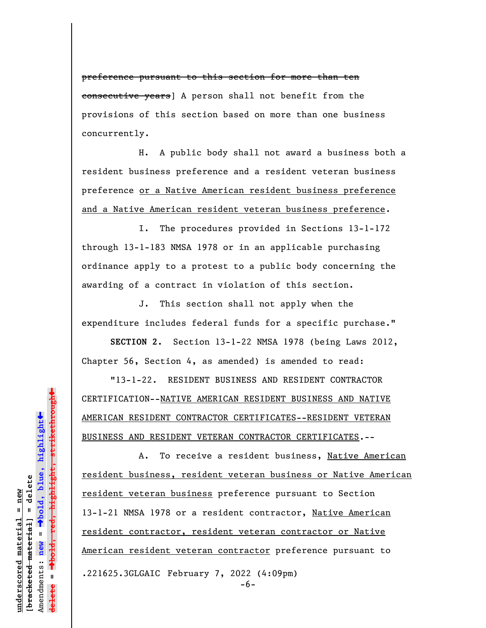preference pursuant to this section for more than ten consecutive years] A person shall not benefit from the provisions of this section based on more than one business concurrently.

H. A public body shall not award a business both a resident business preference and a resident veteran business preference or a Native American resident business preference and a Native American resident veteran business preference.

I. The procedures provided in Sections 13-1-172 through 13-1-183 NMSA 1978 or in an applicable purchasing ordinance apply to a protest to a public body concerning the awarding of a contract in violation of this section.

J. This section shall not apply when the expenditure includes federal funds for a specific purchase."

**SECTION 2.** Section 13-1-22 NMSA 1978 (being Laws 2012, Chapter 56, Section 4, as amended) is amended to read:

"13-1-22. RESIDENT BUSINESS AND RESIDENT CONTRACTOR CERTIFICATION--NATIVE AMERICAN RESIDENT BUSINESS AND NATIVE AMERICAN RESIDENT CONTRACTOR CERTIFICATES--RESIDENT VETERAN BUSINESS AND RESIDENT VETERAN CONTRACTOR CERTIFICATES.--

A. To receive a resident business, Native American resident business, resident veteran business or Native American resident veteran business preference pursuant to Section 13-1-21 NMSA 1978 or a resident contractor, Native American resident contractor, resident veteran contractor or Native American resident veteran contractor preference pursuant to .221625.3GLGAIC February 7, 2022 (4:09pm)

º**bold, red, highlight, strikethrough**  $\ddot{\bullet}$ º**bold, blue, highlight** bracketed material] = delete **[bracketed material] = delete** inderscored material = new **underscored material = new**  $\mathbf{I}$ Amendments: **new** = Amendments: new **delete =**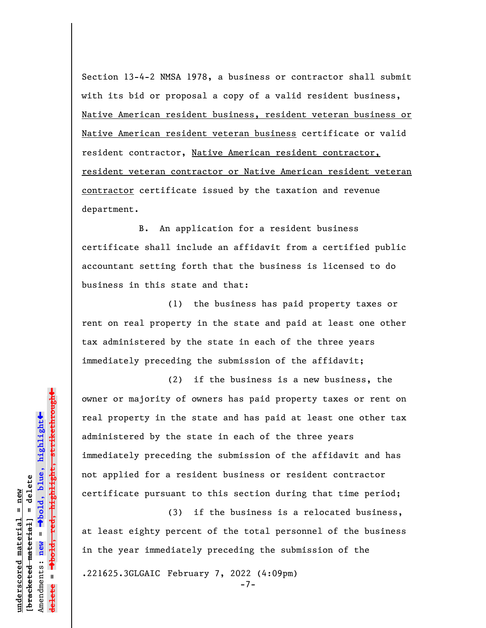Section 13-4-2 NMSA 1978, a business or contractor shall submit with its bid or proposal a copy of a valid resident business, Native American resident business, resident veteran business or Native American resident veteran business certificate or valid resident contractor, Native American resident contractor, resident veteran contractor or Native American resident veteran contractor certificate issued by the taxation and revenue department.

B. An application for a resident business certificate shall include an affidavit from a certified public accountant setting forth that the business is licensed to do business in this state and that:

(1) the business has paid property taxes or rent on real property in the state and paid at least one other tax administered by the state in each of the three years immediately preceding the submission of the affidavit;

(2) if the business is a new business, the owner or majority of owners has paid property taxes or rent on real property in the state and has paid at least one other tax administered by the state in each of the three years immediately preceding the submission of the affidavit and has not applied for a resident business or resident contractor certificate pursuant to this section during that time period;

(3) if the business is a relocated business, at least eighty percent of the total personnel of the business in the year immediately preceding the submission of the

.221625.3GLGAIC February 7, 2022 (4:09pm)

 $\ddag$ º**bold, red, highlight, strikethrough**  $\ddot{\bullet}$ º**bold, blue, highlight** bracketed material] = delete **[bracketed material] = delete** inderscored material = new **underscored material = new** Amendments: **new** =  $\mathbf{I}$ Amendments: new  $\mathbf{u}$ **delete =**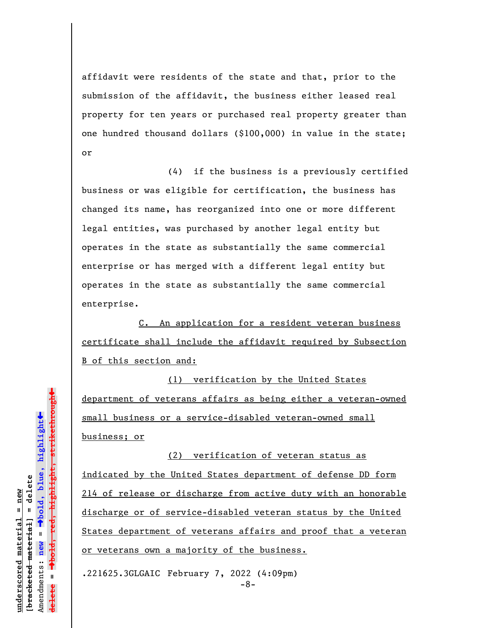affidavit were residents of the state and that, prior to the submission of the affidavit, the business either leased real property for ten years or purchased real property greater than one hundred thousand dollars (\$100,000) in value in the state; or

(4) if the business is a previously certified business or was eligible for certification, the business has changed its name, has reorganized into one or more different legal entities, was purchased by another legal entity but operates in the state as substantially the same commercial enterprise or has merged with a different legal entity but operates in the state as substantially the same commercial enterprise.

C. An application for a resident veteran business certificate shall include the affidavit required by Subsection B of this section and:

(1) verification by the United States department of veterans affairs as being either a veteran-owned small business or a service-disabled veteran-owned small business; or

(2) verification of veteran status as indicated by the United States department of defense DD form 214 of release or discharge from active duty with an honorable discharge or of service-disabled veteran status by the United States department of veterans affairs and proof that a veteran or veterans own a majority of the business.

.221625.3GLGAIC February 7, 2022 (4:09pm)

-8-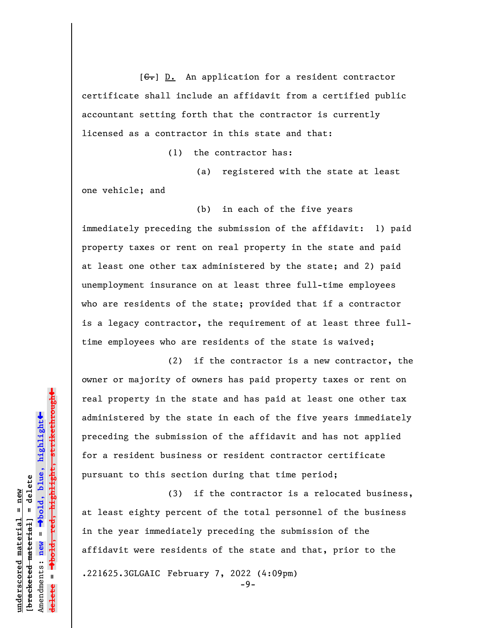$[G<sub>r</sub>]$  D. An application for a resident contractor certificate shall include an affidavit from a certified public accountant setting forth that the contractor is currently licensed as a contractor in this state and that:

(1) the contractor has:

(a) registered with the state at least one vehicle; and

(b) in each of the five years immediately preceding the submission of the affidavit: 1) paid property taxes or rent on real property in the state and paid at least one other tax administered by the state; and 2) paid unemployment insurance on at least three full-time employees who are residents of the state; provided that if a contractor is a legacy contractor, the requirement of at least three fulltime employees who are residents of the state is waived;

(2) if the contractor is a new contractor, the owner or majority of owners has paid property taxes or rent on real property in the state and has paid at least one other tax administered by the state in each of the five years immediately preceding the submission of the affidavit and has not applied for a resident business or resident contractor certificate pursuant to this section during that time period;

(3) if the contractor is a relocated business, at least eighty percent of the total personnel of the business in the year immediately preceding the submission of the affidavit were residents of the state and that, prior to the .221625.3GLGAIC February 7, 2022 (4:09pm)

-9-

 $\ddag$ º**bold, red, highlight, strikethrough**  $\ddot{\bullet}$ º**bold, blue, highlight** bracketed material] = delete **[bracketed material] = delete** inderscored material = new **underscored material = new** Amendments: **new** =  $\mathbf{I}$ Amendments: new **delete =**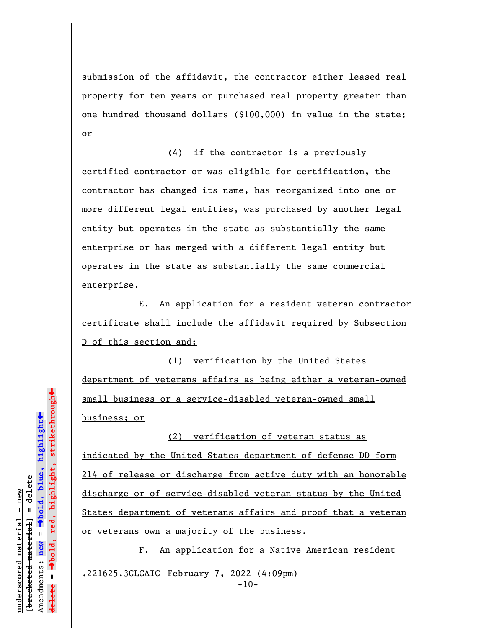submission of the affidavit, the contractor either leased real property for ten years or purchased real property greater than one hundred thousand dollars (\$100,000) in value in the state; or

(4) if the contractor is a previously certified contractor or was eligible for certification, the contractor has changed its name, has reorganized into one or more different legal entities, was purchased by another legal entity but operates in the state as substantially the same enterprise or has merged with a different legal entity but operates in the state as substantially the same commercial enterprise.

E. An application for a resident veteran contractor certificate shall include the affidavit required by Subsection D of this section and:

(1) verification by the United States department of veterans affairs as being either a veteran-owned small business or a service-disabled veteran-owned small business; or

(2) verification of veteran status as indicated by the United States department of defense DD form 214 of release or discharge from active duty with an honorable discharge or of service-disabled veteran status by the United States department of veterans affairs and proof that a veteran or veterans own a majority of the business.

F. An application for a Native American resident .221625.3GLGAIC February 7, 2022 (4:09pm)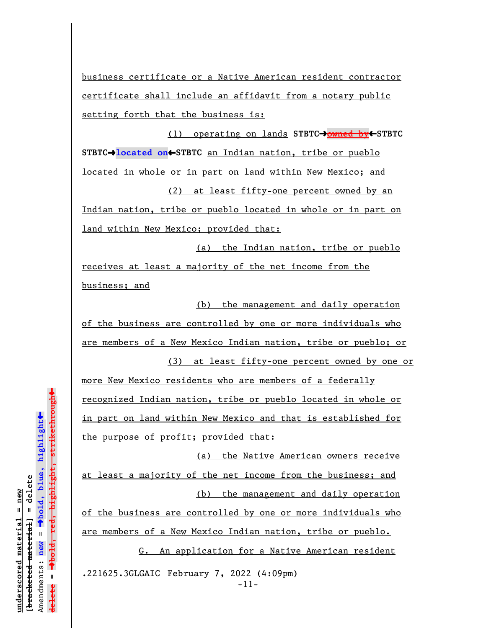business certificate or a Native American resident contractor certificate shall include an affidavit from a notary public setting forth that the business is:

(1) operating on lands **STBTC**º**owned by**»**STBTC** STBTC<sup>+</sup>located on<sup>t</sup>STBTC an Indian nation, tribe or pueblo located in whole or in part on land within New Mexico; and (2) at least fifty-one percent owned by an

Indian nation, tribe or pueblo located in whole or in part on land within New Mexico; provided that:

(a) the Indian nation, tribe or pueblo receives at least a majority of the net income from the business; and

(b) the management and daily operation of the business are controlled by one or more individuals who are members of a New Mexico Indian nation, tribe or pueblo; or

(3) at least fifty-one percent owned by one or

more New Mexico residents who are members of a federally recognized Indian nation, tribe or pueblo located in whole or in part on land within New Mexico and that is established for the purpose of profit; provided that:

(a) the Native American owners receive at least a majority of the net income from the business; and (b) the management and daily operation

of the business are controlled by one or more individuals who are members of a New Mexico Indian nation, tribe or pueblo.

G. An application for a Native American resident .221625.3GLGAIC February 7, 2022 (4:09pm)

-11-

```
\ddagºbold, red, highlight, strikethrough
                                                                 \ddot{\bullet}ºbold, blue, highlight
                              bracketed material] = delete
                                 [bracketed material] = delete
inderscored material = new
    underscored material = new
                                                              Amendments: new =
                                                                 Amendments: new = 
                                                                                                 \mathbf{I}delete =
                                                                                                 lelete
```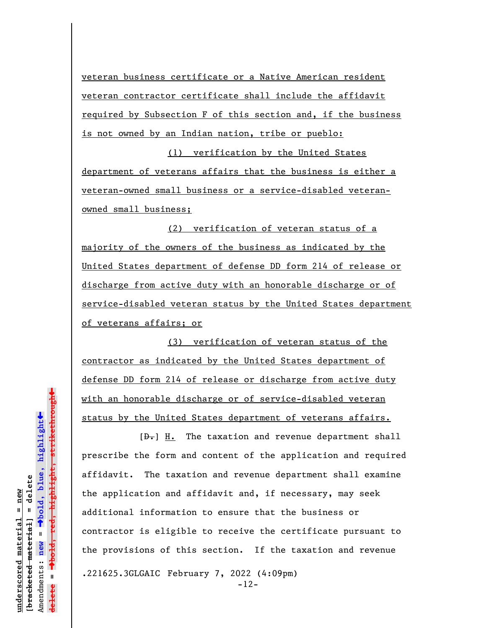veteran business certificate or a Native American resident veteran contractor certificate shall include the affidavit required by Subsection F of this section and, if the business is not owned by an Indian nation, tribe or pueblo:

(1) verification by the United States department of veterans affairs that the business is either a veteran-owned small business or a service-disabled veteranowned small business;

(2) verification of veteran status of a majority of the owners of the business as indicated by the United States department of defense DD form 214 of release or discharge from active duty with an honorable discharge or of service-disabled veteran status by the United States department of veterans affairs; or

(3) verification of veteran status of the contractor as indicated by the United States department of defense DD form 214 of release or discharge from active duty with an honorable discharge or of service-disabled veteran status by the United States department of veterans affairs.

 $[\frac{D-1}{2}]$  H. The taxation and revenue department shall prescribe the form and content of the application and required affidavit. The taxation and revenue department shall examine the application and affidavit and, if necessary, may seek additional information to ensure that the business or contractor is eligible to receive the certificate pursuant to the provisions of this section. If the taxation and revenue .221625.3GLGAIC February 7, 2022 (4:09pm) -12-

 $\ddag$ º**bold, red, highlight, strikethrough**  $\ddot{\bullet}$ º**bold, blue, highlight** bracketed material] = delete **[bracketed material] = delete** inderscored material = new **underscored material = new** Amendments: new = Amendments: **new** =  $\mathbf{u}$ **delete =** lelete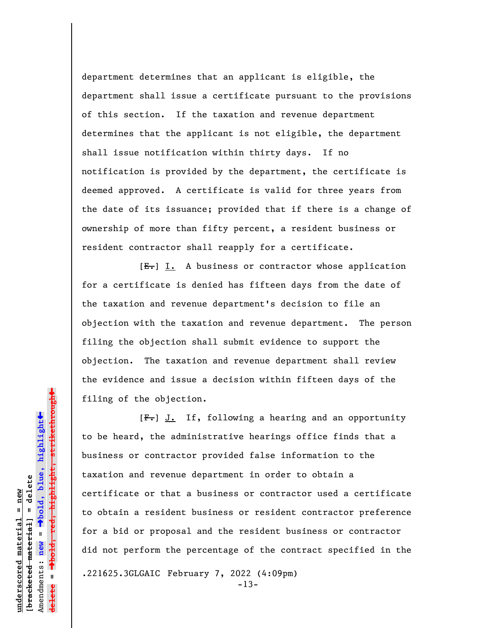department determines that an applicant is eligible, the department shall issue a certificate pursuant to the provisions of this section. If the taxation and revenue department determines that the applicant is not eligible, the department shall issue notification within thirty days. If no notification is provided by the department, the certificate is deemed approved. A certificate is valid for three years from the date of its issuance; provided that if there is a change of ownership of more than fifty percent, a resident business or resident contractor shall reapply for a certificate.

 $[E-] I.$  A business or contractor whose application for a certificate is denied has fifteen days from the date of the taxation and revenue department's decision to file an objection with the taxation and revenue department. The person filing the objection shall submit evidence to support the objection. The taxation and revenue department shall review the evidence and issue a decision within fifteen days of the filing of the objection.

 $[F-]$  J. If, following a hearing and an opportunity to be heard, the administrative hearings office finds that a business or contractor provided false information to the taxation and revenue department in order to obtain a certificate or that a business or contractor used a certificate to obtain a resident business or resident contractor preference for a bid or proposal and the resident business or contractor did not perform the percentage of the contract specified in the .221625.3GLGAIC February 7, 2022 (4:09pm)

-13-

º**bold, red, highlight, strikethrough**  $\ddot{\bullet}$ º**bold, blue, highlight** bracketed material] = delete **[bracketed material] = delete** inderscored material = new **underscored material = new** Amendments: **new** =  $\mathbf{I}$ Amendments: new **delete =**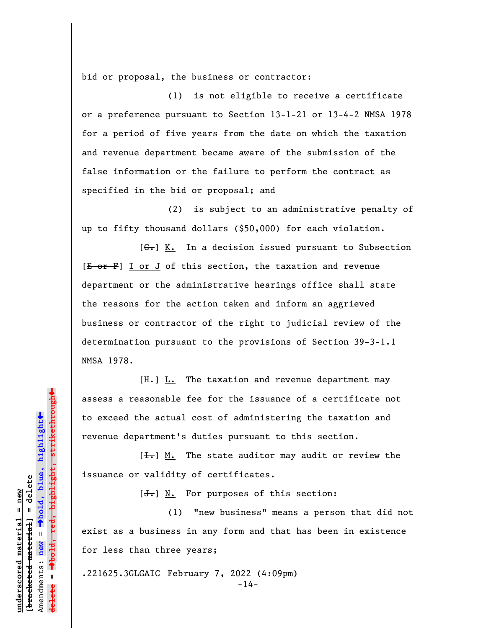bid or proposal, the business or contractor:

(1) is not eligible to receive a certificate or a preference pursuant to Section 13-1-21 or 13-4-2 NMSA 1978 for a period of five years from the date on which the taxation and revenue department became aware of the submission of the false information or the failure to perform the contract as specified in the bid or proposal; and

(2) is subject to an administrative penalty of up to fifty thousand dollars (\$50,000) for each violation.

 $[G<sub>z</sub>]$  K. In a decision issued pursuant to Subsection  $[E - 0F]$  I or J of this section, the taxation and revenue department or the administrative hearings office shall state the reasons for the action taken and inform an aggrieved business or contractor of the right to judicial review of the determination pursuant to the provisions of Section 39-3-1.1 NMSA 1978.

 $[H<sub>z</sub>]$  L. The taxation and revenue department may assess a reasonable fee for the issuance of a certificate not to exceed the actual cost of administering the taxation and revenue department's duties pursuant to this section.

 $[\frac{1}{\sqrt{1}}]$  M. The state auditor may audit or review the issuance or validity of certificates.

 $[\frac{J}{J}]$  N. For purposes of this section:

(1) "new business" means a person that did not exist as a business in any form and that has been in existence for less than three years;

.221625.3GLGAIC February 7, 2022 (4:09pm)

-14-

highlight, strikethrough º**bold, red, highlight, strikethrough**  $\ddot{\bullet}$ º**bold, blue, highlight** bracketed material] = delete **[bracketed material] = delete** inderscored material = new **underscored material = new** Amendments: **new** =  $\mathbf{I}$ Amendments: new **delete =**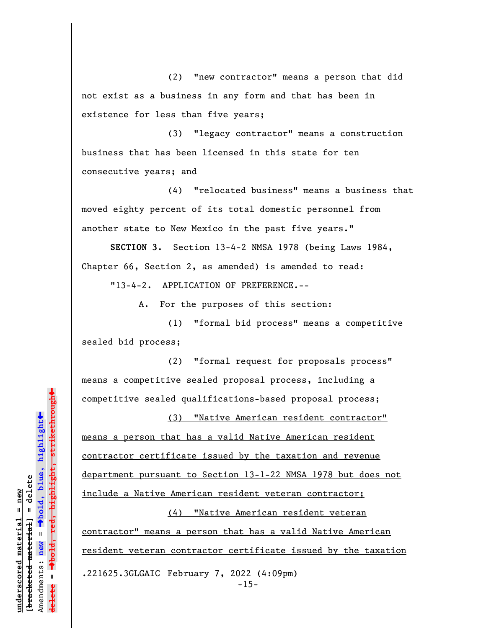(2) "new contractor" means a person that did not exist as a business in any form and that has been in existence for less than five years;

(3) "legacy contractor" means a construction business that has been licensed in this state for ten consecutive years; and

(4) "relocated business" means a business that moved eighty percent of its total domestic personnel from another state to New Mexico in the past five years."

**SECTION 3.** Section 13-4-2 NMSA 1978 (being Laws 1984, Chapter 66, Section 2, as amended) is amended to read:

"13-4-2. APPLICATION OF PREFERENCE.--

A. For the purposes of this section:

(1) "formal bid process" means a competitive sealed bid process;

(2) "formal request for proposals process" means a competitive sealed proposal process, including a competitive sealed qualifications-based proposal process;

(3) "Native American resident contractor" means a person that has a valid Native American resident contractor certificate issued by the taxation and revenue department pursuant to Section 13-1-22 NMSA 1978 but does not include a Native American resident veteran contractor;

(4) "Native American resident veteran contractor" means a person that has a valid Native American resident veteran contractor certificate issued by the taxation .221625.3GLGAIC February 7, 2022 (4:09pm) -15-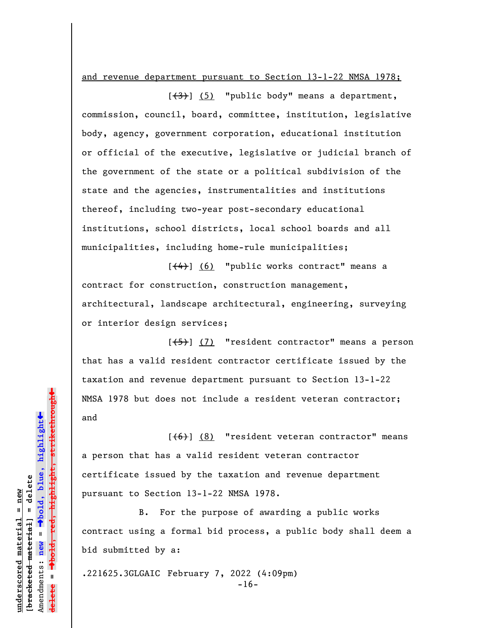and revenue department pursuant to Section 13-1-22 NMSA 1978;

 $[\frac{(3)}{3}]$  (5) "public body" means a department, commission, council, board, committee, institution, legislative body, agency, government corporation, educational institution or official of the executive, legislative or judicial branch of the government of the state or a political subdivision of the state and the agencies, instrumentalities and institutions thereof, including two-year post-secondary educational institutions, school districts, local school boards and all municipalities, including home-rule municipalities;

 $[\frac{(4)}{3}]$  (6) "public works contract" means a contract for construction, construction management, architectural, landscape architectural, engineering, surveying or interior design services;

[(5)] (7) "resident contractor" means a person that has a valid resident contractor certificate issued by the taxation and revenue department pursuant to Section 13-1-22 NMSA 1978 but does not include a resident veteran contractor; and

 $[ (6) ] (8)$  "resident veteran contractor" means a person that has a valid resident veteran contractor certificate issued by the taxation and revenue department pursuant to Section 13-1-22 NMSA 1978.

B. For the purpose of awarding a public works contract using a formal bid process, a public body shall deem a bid submitted by a:

.221625.3GLGAIC February 7, 2022 (4:09pm) -16-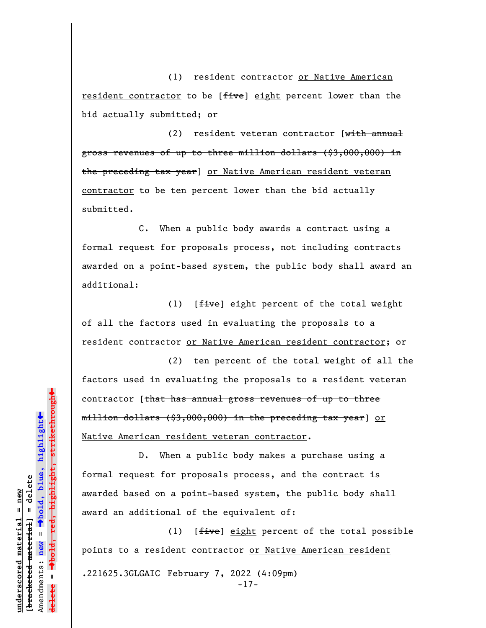(1) resident contractor or Native American resident contractor to be [five] eight percent lower than the bid actually submitted; or

(2) resident veteran contractor  $[\text{with annual}]$ gross revenues of up to three million dollars (\$3,000,000) in the preceding tax year] or Native American resident veteran contractor to be ten percent lower than the bid actually submitted.

C. When a public body awards a contract using a formal request for proposals process, not including contracts awarded on a point-based system, the public body shall award an additional:

(1)  $[$ *five*] eight percent of the total weight of all the factors used in evaluating the proposals to a resident contractor or Native American resident contractor; or

(2) ten percent of the total weight of all the factors used in evaluating the proposals to a resident veteran contractor [that has annual gross revenues of up to three million dollars (\$3,000,000) in the preceding tax year] or Native American resident veteran contractor.

D. When a public body makes a purchase using a formal request for proposals process, and the contract is awarded based on a point-based system, the public body shall award an additional of the equivalent of:

(1)  $[$ *five*] eight percent of the total possible points to a resident contractor or Native American resident .221625.3GLGAIC February 7, 2022 (4:09pm) -17-

 $\ddag$ º**bold, red, highlight, strikethrough**  $\ddot{\bullet}$ º**bold, blue, highlight** bracketed material] = delete **[bracketed material] = delete** inderscored material = new **underscored material = new** Amendments: **new** =  $\mathbf{I}$ Amendments: new **delete =**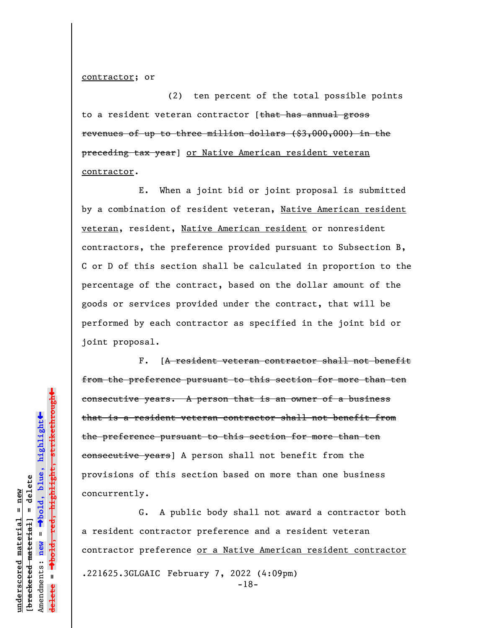contractor; or

(2) ten percent of the total possible points to a resident veteran contractor [that has annual gross revenues of up to three million dollars (\$3,000,000) in the preceding tax year] or Native American resident veteran contractor.

E. When a joint bid or joint proposal is submitted by a combination of resident veteran, Native American resident veteran, resident, Native American resident or nonresident contractors, the preference provided pursuant to Subsection B, C or D of this section shall be calculated in proportion to the percentage of the contract, based on the dollar amount of the goods or services provided under the contract, that will be performed by each contractor as specified in the joint bid or joint proposal.

F. [A resident veteran contractor shall not benefit from the preference pursuant to this section for more than ten consecutive years. A person that is an owner of a business that is a resident veteran contractor shall not benefit from the preference pursuant to this section for more than ten consecutive years] A person shall not benefit from the provisions of this section based on more than one business concurrently.

G. A public body shall not award a contractor both a resident contractor preference and a resident veteran contractor preference or a Native American resident contractor .221625.3GLGAIC February 7, 2022 (4:09pm) -18-

**underscored material = new [bracketed material] = delete**

bracketed material] = delete  $anderscored material = new$ 

Amendments: **new** =

Amendments: new

 $\mathbf{u}$ 

**delete =**

º**bold, blue, highlight**

º**bold, red, highlight, strikethrough**

highlight, strikethrough<del>t</del>

 $\ddot{\bullet}$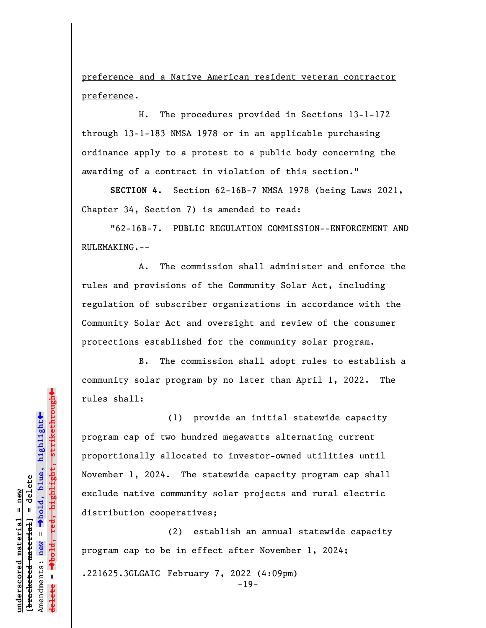preference and a Native American resident veteran contractor preference.

H. The procedures provided in Sections 13-1-172 through 13-1-183 NMSA 1978 or in an applicable purchasing ordinance apply to a protest to a public body concerning the awarding of a contract in violation of this section."

**SECTION 4.** Section 62-16B-7 NMSA 1978 (being Laws 2021, Chapter 34, Section 7) is amended to read:

"62-16B-7. PUBLIC REGULATION COMMISSION--ENFORCEMENT AND RULEMAKING.--

A. The commission shall administer and enforce the rules and provisions of the Community Solar Act, including regulation of subscriber organizations in accordance with the Community Solar Act and oversight and review of the consumer protections established for the community solar program.

B. The commission shall adopt rules to establish a community solar program by no later than April 1, 2022. The rules shall:

(1) provide an initial statewide capacity program cap of two hundred megawatts alternating current proportionally allocated to investor-owned utilities until November 1, 2024. The statewide capacity program cap shall exclude native community solar projects and rural electric distribution cooperatives;

(2) establish an annual statewide capacity program cap to be in effect after November 1, 2024; .221625.3GLGAIC February 7, 2022 (4:09pm) -19-

 $\ddag$ º**bold, red, highlight, strikethrough**  $\ddot{\bullet}$ º**bold, blue, highlight** bracketed material] = delete **[bracketed material] = delete** inderscored material = new **underscored material = new** Amendments: **new** =  $\mathbf{u}$ Amendments: new **delete =**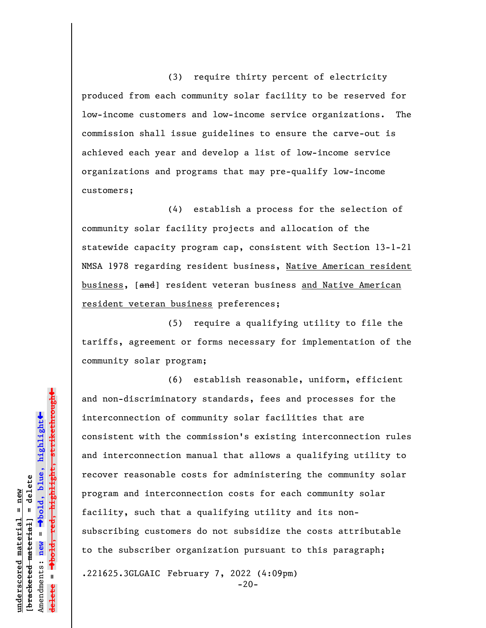(3) require thirty percent of electricity produced from each community solar facility to be reserved for low-income customers and low-income service organizations. The commission shall issue guidelines to ensure the carve-out is achieved each year and develop a list of low-income service organizations and programs that may pre-qualify low-income customers;

(4) establish a process for the selection of community solar facility projects and allocation of the statewide capacity program cap, consistent with Section 13-1-21 NMSA 1978 regarding resident business, Native American resident business, [and] resident veteran business and Native American resident veteran business preferences;

(5) require a qualifying utility to file the tariffs, agreement or forms necessary for implementation of the community solar program;

(6) establish reasonable, uniform, efficient and non-discriminatory standards, fees and processes for the interconnection of community solar facilities that are consistent with the commission's existing interconnection rules and interconnection manual that allows a qualifying utility to recover reasonable costs for administering the community solar program and interconnection costs for each community solar facility, such that a qualifying utility and its nonsubscribing customers do not subsidize the costs attributable to the subscriber organization pursuant to this paragraph; .221625.3GLGAIC February 7, 2022 (4:09pm)

 $-20-$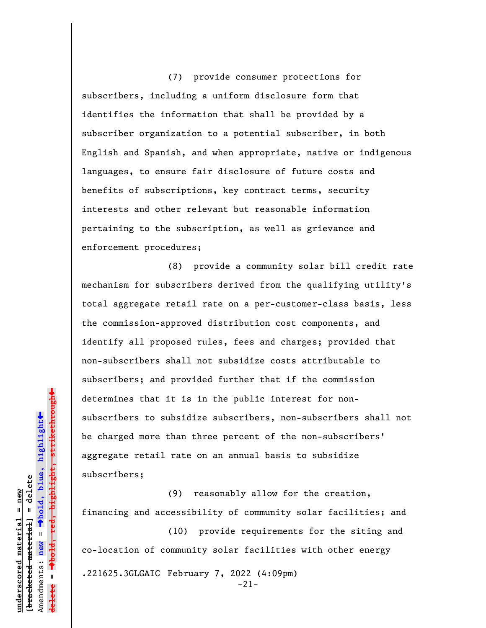(7) provide consumer protections for subscribers, including a uniform disclosure form that identifies the information that shall be provided by a subscriber organization to a potential subscriber, in both English and Spanish, and when appropriate, native or indigenous languages, to ensure fair disclosure of future costs and benefits of subscriptions, key contract terms, security interests and other relevant but reasonable information pertaining to the subscription, as well as grievance and enforcement procedures;

(8) provide a community solar bill credit rate mechanism for subscribers derived from the qualifying utility's total aggregate retail rate on a per-customer-class basis, less the commission-approved distribution cost components, and identify all proposed rules, fees and charges; provided that non-subscribers shall not subsidize costs attributable to subscribers; and provided further that if the commission determines that it is in the public interest for nonsubscribers to subsidize subscribers, non-subscribers shall not be charged more than three percent of the non-subscribers' aggregate retail rate on an annual basis to subsidize subscribers;

(9) reasonably allow for the creation, financing and accessibility of community solar facilities; and

(10) provide requirements for the siting and co-location of community solar facilities with other energy .221625.3GLGAIC February 7, 2022 (4:09pm) -21-

highlight, strikethrough º**bold, red, highlight, strikethrough**  $\ddot{\bullet}$ º**bold, blue, highlight** bracketed material] = delete **[bracketed material] = delete** inderscored material = new **underscored material = new** Amendments: **new** =  $\mathbf{u}$ Amendments: new **delete =**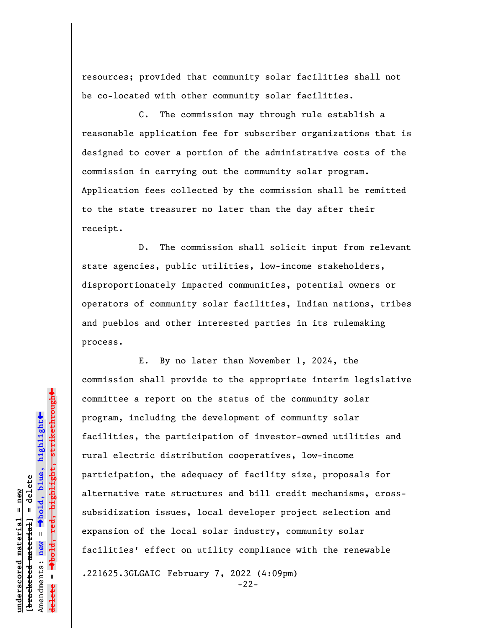resources; provided that community solar facilities shall not be co-located with other community solar facilities.

C. The commission may through rule establish a reasonable application fee for subscriber organizations that is designed to cover a portion of the administrative costs of the commission in carrying out the community solar program. Application fees collected by the commission shall be remitted to the state treasurer no later than the day after their receipt.

D. The commission shall solicit input from relevant state agencies, public utilities, low-income stakeholders, disproportionately impacted communities, potential owners or operators of community solar facilities, Indian nations, tribes and pueblos and other interested parties in its rulemaking process.

E. By no later than November 1, 2024, the commission shall provide to the appropriate interim legislative committee a report on the status of the community solar program, including the development of community solar facilities, the participation of investor-owned utilities and rural electric distribution cooperatives, low-income participation, the adequacy of facility size, proposals for alternative rate structures and bill credit mechanisms, crosssubsidization issues, local developer project selection and expansion of the local solar industry, community solar facilities' effect on utility compliance with the renewable .221625.3GLGAIC February 7, 2022 (4:09pm)

-22-

 $\ddag$ º**bold, red, highlight, strikethrough**  $\ddot{\bullet}$ º**bold, blue, highlight** bracketed material] = delete **[bracketed material] = delete** inderscored material = new **underscored material = new** Amendments: **new** =  $\mathbf{u}$ Amendments: new **delete =**